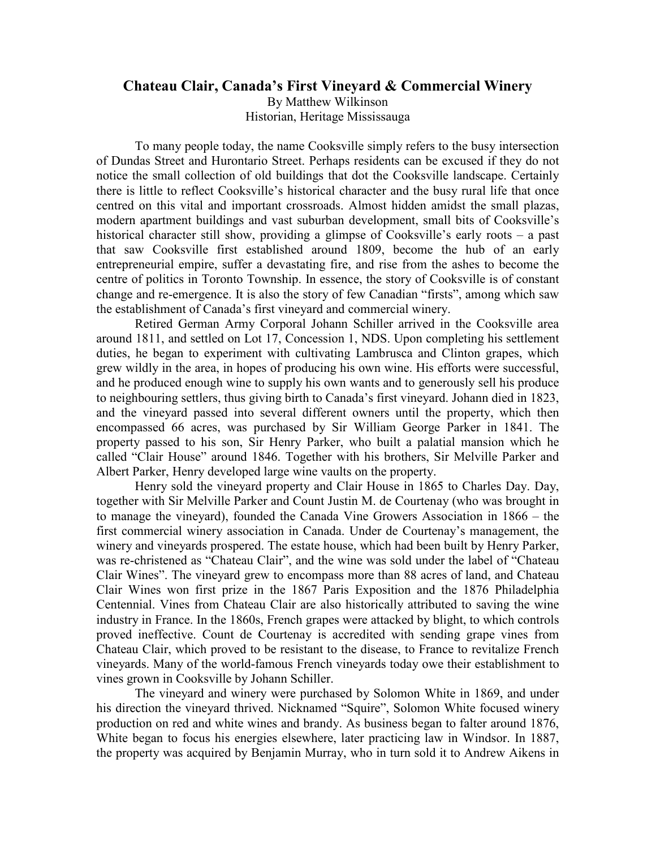## **Chateau Clair, Canada's First Vineyard & Commercial Winery**

By Matthew Wilkinson

Historian, Heritage Mississauga

To many people today, the name Cooksville simply refers to the busy intersection of Dundas Street and Hurontario Street. Perhaps residents can be excused if they do not notice the small collection of old buildings that dot the Cooksville landscape. Certainly there is little to reflect Cooksville's historical character and the busy rural life that once centred on this vital and important crossroads. Almost hidden amidst the small plazas, modern apartment buildings and vast suburban development, small bits of Cooksville's historical character still show, providing a glimpse of Cooksville's early roots – a past that saw Cooksville first established around 1809, become the hub of an early entrepreneurial empire, suffer a devastating fire, and rise from the ashes to become the centre of politics in Toronto Township. In essence, the story of Cooksville is of constant change and re-emergence. It is also the story of few Canadian "firsts", among which saw the establishment of Canada's first vineyard and commercial winery.

Retired German Army Corporal Johann Schiller arrived in the Cooksville area around 1811, and settled on Lot 17, Concession 1, NDS. Upon completing his settlement duties, he began to experiment with cultivating Lambrusca and Clinton grapes, which grew wildly in the area, in hopes of producing his own wine. His efforts were successful, and he produced enough wine to supply his own wants and to generously sell his produce to neighbouring settlers, thus giving birth to Canada's first vineyard. Johann died in 1823, and the vineyard passed into several different owners until the property, which then encompassed 66 acres, was purchased by Sir William George Parker in 1841. The property passed to his son, Sir Henry Parker, who built a palatial mansion which he called "Clair House" around 1846. Together with his brothers, Sir Melville Parker and Albert Parker, Henry developed large wine vaults on the property.

Henry sold the vineyard property and Clair House in 1865 to Charles Day. Day, together with Sir Melville Parker and Count Justin M. de Courtenay (who was brought in to manage the vineyard), founded the Canada Vine Growers Association in 1866 – the first commercial winery association in Canada. Under de Courtenay's management, the winery and vineyards prospered. The estate house, which had been built by Henry Parker, was re-christened as "Chateau Clair", and the wine was sold under the label of "Chateau Clair Wines". The vineyard grew to encompass more than 88 acres of land, and Chateau Clair Wines won first prize in the 1867 Paris Exposition and the 1876 Philadelphia Centennial. Vines from Chateau Clair are also historically attributed to saving the wine industry in France. In the 1860s, French grapes were attacked by blight, to which controls proved ineffective. Count de Courtenay is accredited with sending grape vines from Chateau Clair, which proved to be resistant to the disease, to France to revitalize French vineyards. Many of the world-famous French vineyards today owe their establishment to vines grown in Cooksville by Johann Schiller.

The vineyard and winery were purchased by Solomon White in 1869, and under his direction the vineyard thrived. Nicknamed "Squire", Solomon White focused winery production on red and white wines and brandy. As business began to falter around 1876, White began to focus his energies elsewhere, later practicing law in Windsor. In 1887, the property was acquired by Benjamin Murray, who in turn sold it to Andrew Aikens in